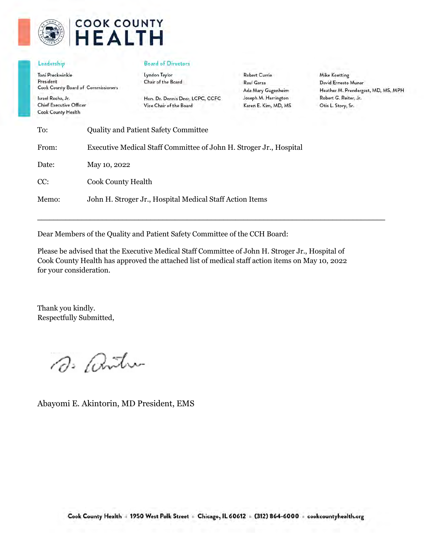

# **COOK COUNTY HEALTH**

#### Leadership

Toni Preckwinkle President Cook County Board of Commissioners

Israel Rocha, Jr. **Chief Executive Officer Cook County Health** 

#### **Board of Directors**

Lyndon Taylor Chair of the Board

Hon. Dr. Dennis Deer, LCPC, CCFC Vice Chair of the Board

**Robert Currie** Raul Garza Ada Mary Gugenheim Joseph M. Harrington Karen E. Kim, MD, MS

**Mike Koetting** David Ernesto Munar Heather M. Prendergast, MD, MS, MPH Robert G. Reiter, Jr. Otis L. Story, Sr.

| To:   | <b>Quality and Patient Safety Committee</b>                        |
|-------|--------------------------------------------------------------------|
| From: | Executive Medical Staff Committee of John H. Stroger Jr., Hospital |
| Date: | May 10, 2022                                                       |
| CC:   | <b>Cook County Health</b>                                          |
| Memo: | John H. Stroger Jr., Hospital Medical Staff Action Items           |

Dear Members of the Quality and Patient Safety Committee of the CCH Board:

Please be advised that the Executive Medical Staff Committee of John H. Stroger Jr., Hospital of Cook County Health has approved the attached list of medical staff action items on May 10, 2022 for your consideration.

 $\mathcal{L}_\mathcal{L} = \{ \mathcal{L}_\mathcal{L} = \{ \mathcal{L}_\mathcal{L} = \{ \mathcal{L}_\mathcal{L} = \{ \mathcal{L}_\mathcal{L} = \{ \mathcal{L}_\mathcal{L} = \{ \mathcal{L}_\mathcal{L} = \{ \mathcal{L}_\mathcal{L} = \{ \mathcal{L}_\mathcal{L} = \{ \mathcal{L}_\mathcal{L} = \{ \mathcal{L}_\mathcal{L} = \{ \mathcal{L}_\mathcal{L} = \{ \mathcal{L}_\mathcal{L} = \{ \mathcal{L}_\mathcal{L} = \{ \mathcal{L}_\mathcal{$ 

Thank you kindly. Respectfully Submitted,

D. antu

Abayomi E. Akintorin, MD President, EMS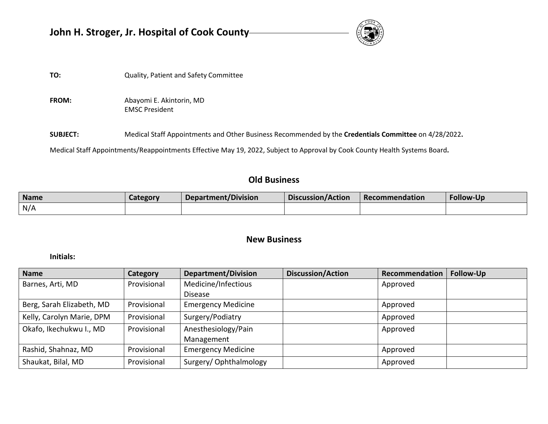| John H. Stroger, Jr. Hospital of Cook County- |                                       |  |  |  |  |
|-----------------------------------------------|---------------------------------------|--|--|--|--|
|                                               |                                       |  |  |  |  |
| TO:                                           | Quality, Patient and Safety Committee |  |  |  |  |

**FROM:** Abayomi E. Akintorin, MD EMSC President

**SUBJECT:** Medical Staff Appointments and Other Business Recommended by the **Credentials Committee** on 4/28/2022**.** 

Medical Staff Appointments/Reappointments Effective May 19, 2022, Subject to Approval by Cook County Health Systems Board**.** 

# **Old Business**

| <b>Name</b> | Category | <b>Department/Division</b> | Discussion/Action | Recommendation | <b>Follow-Up</b> |
|-------------|----------|----------------------------|-------------------|----------------|------------------|
| N/A         |          |                            |                   |                |                  |

# **New Business**

### **Initials:**

| <b>Name</b>               | Category    | <b>Department/Division</b> | <b>Discussion/Action</b> | Recommendation | <b>Follow-Up</b> |
|---------------------------|-------------|----------------------------|--------------------------|----------------|------------------|
| Barnes, Arti, MD          | Provisional | Medicine/Infectious        |                          | Approved       |                  |
|                           |             | <b>Disease</b>             |                          |                |                  |
| Berg, Sarah Elizabeth, MD | Provisional | <b>Emergency Medicine</b>  |                          | Approved       |                  |
| Kelly, Carolyn Marie, DPM | Provisional | Surgery/Podiatry           |                          | Approved       |                  |
| Okafo, Ikechukwu I., MD   | Provisional | Anesthesiology/Pain        |                          | Approved       |                  |
|                           |             | Management                 |                          |                |                  |
| Rashid, Shahnaz, MD       | Provisional | <b>Emergency Medicine</b>  |                          | Approved       |                  |
| Shaukat, Bilal, MD        | Provisional | Surgery/Ophthalmology      |                          | Approved       |                  |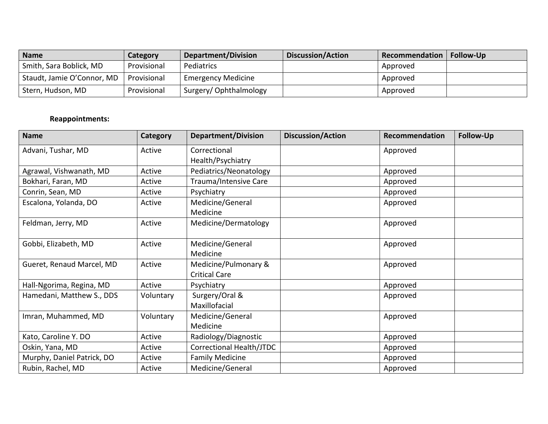| <b>Name</b>                | Category    | <b>Department/Division</b> | <b>Discussion/Action</b> | Recommendation   Follow-Up |  |
|----------------------------|-------------|----------------------------|--------------------------|----------------------------|--|
| Smith, Sara Boblick, MD    | Provisional | Pediatrics                 |                          | Approved                   |  |
| Staudt, Jamie O'Connor, MD | Provisional | <b>Emergency Medicine</b>  |                          | Approved                   |  |
| Stern, Hudson, MD          | Provisional | Surgery/Ophthalmology      |                          | Approved                   |  |

# **Reappointments:**

| <b>Name</b>                | Category  | <b>Department/Division</b> | <b>Discussion/Action</b> | Recommendation | Follow-Up |
|----------------------------|-----------|----------------------------|--------------------------|----------------|-----------|
| Advani, Tushar, MD         | Active    | Correctional               |                          | Approved       |           |
|                            |           | Health/Psychiatry          |                          |                |           |
| Agrawal, Vishwanath, MD    | Active    | Pediatrics/Neonatology     |                          | Approved       |           |
| Bokhari, Faran, MD         | Active    | Trauma/Intensive Care      |                          | Approved       |           |
| Conrin, Sean, MD           | Active    | Psychiatry                 |                          | Approved       |           |
| Escalona, Yolanda, DO      | Active    | Medicine/General           |                          | Approved       |           |
|                            |           | Medicine                   |                          |                |           |
| Feldman, Jerry, MD         | Active    | Medicine/Dermatology       |                          | Approved       |           |
|                            |           |                            |                          |                |           |
| Gobbi, Elizabeth, MD       | Active    | Medicine/General           |                          | Approved       |           |
|                            |           | Medicine                   |                          |                |           |
| Gueret, Renaud Marcel, MD  | Active    | Medicine/Pulmonary &       |                          | Approved       |           |
|                            |           | <b>Critical Care</b>       |                          |                |           |
| Hall-Ngorima, Regina, MD   | Active    | Psychiatry                 |                          | Approved       |           |
| Hamedani, Matthew S., DDS  | Voluntary | Surgery/Oral &             |                          | Approved       |           |
|                            |           | Maxillofacial              |                          |                |           |
| Imran, Muhammed, MD        | Voluntary | Medicine/General           |                          | Approved       |           |
|                            |           | Medicine                   |                          |                |           |
| Kato, Caroline Y. DO       | Active    | Radiology/Diagnostic       |                          | Approved       |           |
| Oskin, Yana, MD            | Active    | Correctional Health/JTDC   |                          | Approved       |           |
| Murphy, Daniel Patrick, DO | Active    | <b>Family Medicine</b>     |                          | Approved       |           |
| Rubin, Rachel, MD          | Active    | Medicine/General           |                          | Approved       |           |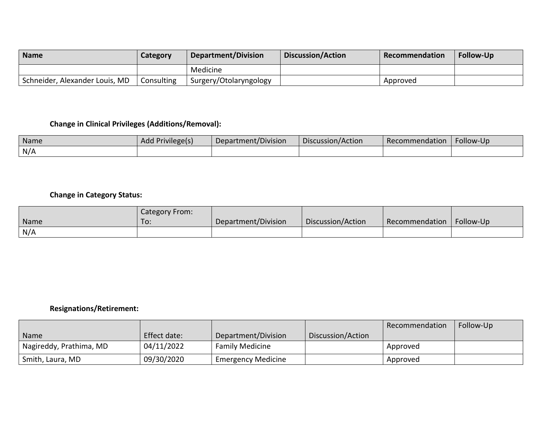| <b>Name</b>                    | Category   | <b>Department/Division</b> | <b>Discussion/Action</b> | <b>Recommendation</b> | <b>Follow-Up</b> |
|--------------------------------|------------|----------------------------|--------------------------|-----------------------|------------------|
|                                |            | Medicine                   |                          |                       |                  |
| Schneider, Alexander Louis, MD | Consulting | Surgery/Otolaryngology     |                          | Approved              |                  |

# **Change in Clinical Privileges (Additions/Removal):**

| Name | Add Privilege(s) | $\cdot$ .<br>Department/Division | Discussion/Action | Recommendation | Follow-Up |
|------|------------------|----------------------------------|-------------------|----------------|-----------|
| N/A  |                  |                                  |                   |                |           |

# **Change in Category Status:**

|      | Category From: |                     |                   |                |           |
|------|----------------|---------------------|-------------------|----------------|-----------|
| Name | To:            | Department/Division | Discussion/Action | Recommendation | Follow-Up |
| N/A  |                |                     |                   |                |           |

## **Resignations/Retirement:**

|                         |              |                        |                   | Recommendation | Follow-Up |
|-------------------------|--------------|------------------------|-------------------|----------------|-----------|
| Name                    | Effect date: | Department/Division    | Discussion/Action |                |           |
| Nagireddy, Prathima, MD | 04/11/2022   | <b>Family Medicine</b> |                   | Approved       |           |
| Smith, Laura, MD        | 09/30/2020   | ' Emergency Medicine   |                   | Approved       |           |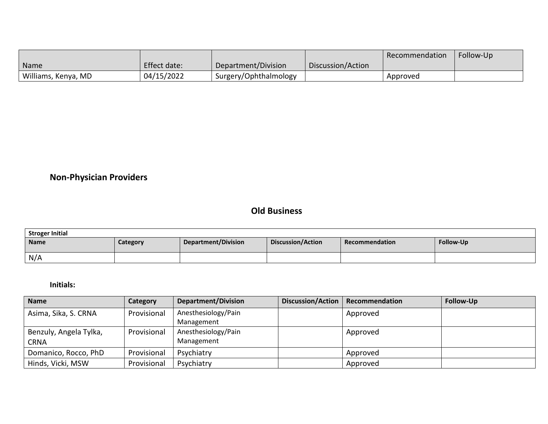|                     |              |                       |                   | Recommendation | Follow-Up |
|---------------------|--------------|-----------------------|-------------------|----------------|-----------|
| Name                | Effect date: | Department/Division   | Discussion/Action |                |           |
| Williams, Kenya, MD | 04/15/2022   | Surgery/Ophthalmology |                   | Approved       |           |

# **Non-Physician Providers**

# **Old Business**

| <b>Stroger Initial</b> |          |                            |                   |                |           |  |  |
|------------------------|----------|----------------------------|-------------------|----------------|-----------|--|--|
| Name                   | Category | <b>Department/Division</b> | Discussion/Action | Recommendation | Follow-Up |  |  |
| N/A                    |          |                            |                   |                |           |  |  |

### **Initials:**

| <b>Name</b>            | Category    | <b>Department/Division</b> | Discussion/Action   Recommendation | Follow-Up |
|------------------------|-------------|----------------------------|------------------------------------|-----------|
| Asima, Sika, S. CRNA   | Provisional | Anesthesiology/Pain        | Approved                           |           |
|                        |             | Management                 |                                    |           |
| Benzuly, Angela Tylka, | Provisional | Anesthesiology/Pain        | Approved                           |           |
| <b>CRNA</b>            |             | Management                 |                                    |           |
| Domanico, Rocco, PhD   | Provisional | Psychiatry                 | Approved                           |           |
| Hinds, Vicki, MSW      | Provisional | Psychiatry                 | Approved                           |           |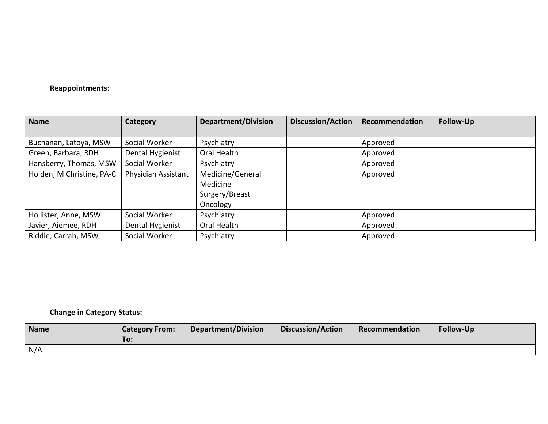### **Reappointments:**

| <b>Name</b>               | Category            | <b>Department/Division</b> | <b>Discussion/Action</b> | Recommendation | <b>Follow-Up</b> |
|---------------------------|---------------------|----------------------------|--------------------------|----------------|------------------|
|                           |                     |                            |                          |                |                  |
| Buchanan, Latoya, MSW     | Social Worker       | Psychiatry                 |                          | Approved       |                  |
| Green, Barbara, RDH       | Dental Hygienist    | Oral Health                |                          | Approved       |                  |
| Hansberry, Thomas, MSW    | Social Worker       | Psychiatry                 |                          | Approved       |                  |
| Holden, M Christine, PA-C | Physician Assistant | Medicine/General           |                          | Approved       |                  |
|                           |                     | Medicine                   |                          |                |                  |
|                           |                     | Surgery/Breast             |                          |                |                  |
|                           |                     | Oncology                   |                          |                |                  |
| Hollister, Anne, MSW      | Social Worker       | Psychiatry                 |                          | Approved       |                  |
| Javier, Aiemee, RDH       | Dental Hygienist    | Oral Health                |                          | Approved       |                  |
| Riddle, Carrah, MSW       | Social Worker       | Psychiatry                 |                          | Approved       |                  |

# **Change in Category Status:**

| Name | <b>Category From:</b><br>To: | Department/Division | <b>Discussion/Action</b> | Recommendation | <b>Follow-Up</b> |
|------|------------------------------|---------------------|--------------------------|----------------|------------------|
| N/A  |                              |                     |                          |                |                  |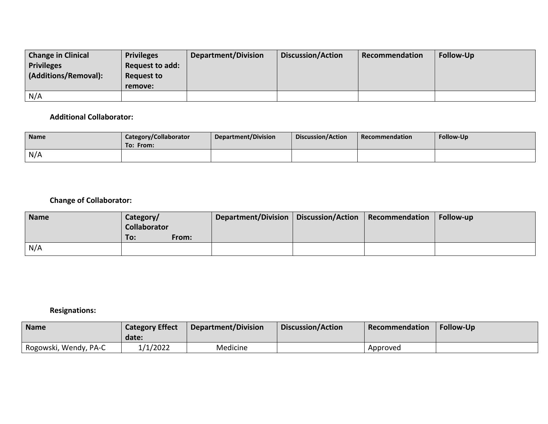| <b>Change in Clinical</b> | <b>Privileges</b> | Department/Division | <b>Discussion/Action</b> | Recommendation | <b>Follow-Up</b> |
|---------------------------|-------------------|---------------------|--------------------------|----------------|------------------|
| <b>Privileges</b>         | Request to add:   |                     |                          |                |                  |
| (Additions/Removal):      | Request to        |                     |                          |                |                  |
|                           | remove:           |                     |                          |                |                  |
| N/A                       |                   |                     |                          |                |                  |

### **Additional Collaborator:**

| <b>Name</b> | Category/Collaborator<br>To: From: | Department/Division | Discussion/Action | Recommendation | Follow-Up |
|-------------|------------------------------------|---------------------|-------------------|----------------|-----------|
| N/A         |                                    |                     |                   |                |           |

# **Change of Collaborator:**

| <b>Name</b> | Category/<br><b>Collaborator</b> |       | Department/Division   Discussion/Action | Recommendation | Follow-up |
|-------------|----------------------------------|-------|-----------------------------------------|----------------|-----------|
|             | To:                              | From: |                                         |                |           |
| N/A         |                                  |       |                                         |                |           |

# **Resignations:**

| <b>Name</b>           | <b>Category Effect</b><br>date: | Department/Division | <b>Discussion/Action</b> | Recommendation | Follow-Up |
|-----------------------|---------------------------------|---------------------|--------------------------|----------------|-----------|
| Rogowski, Wendy, PA-C | 1/1/2022                        | Medicine            |                          | Approved       |           |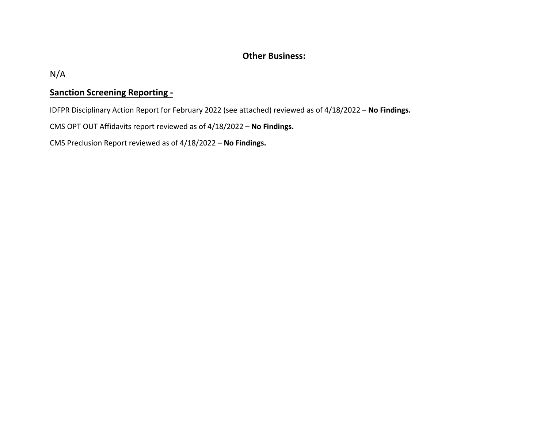# **Other Business:**

N/A

# **Sanction Screening Reporting -**

IDFPR Disciplinary Action Report for February 2022 (see attached) reviewed as of 4/18/2022 – **No Findings.**

CMS OPT OUT Affidavits report reviewed as of 4/18/2022 – **No Findings.**

CMS Preclusion Report reviewed as of 4/18/2022 – **No Findings.**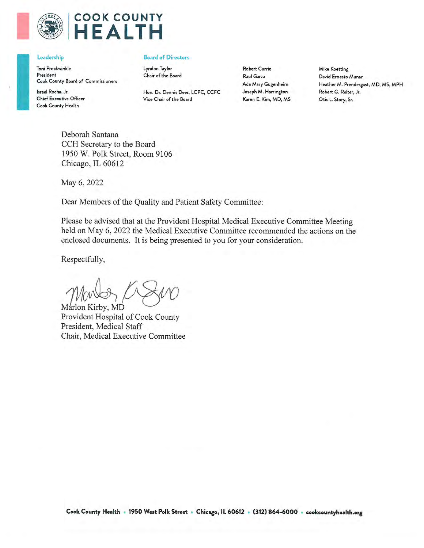

# **COOK COUNTY** HEALTH

#### Leadership

Toni Preckwinkle President Cook County Board of Commissioners

Israel Rocha, Jr. **Chief Executive Officer** Cook County Health

#### **Board of Directors**

Lyndon Taylor Chair of the Board

Hon. Dr. Dennis Deer, LCPC, CCFC Vice Chair of the Board

**Robert Currie** Raul Garza Ada Mary Gugenheim Joseph M. Harrington Karen E. Kim, MD, MS **Mike Koetting** David Ernesto Munar Heather M. Prendergast, MD, MS, MPH Robert G. Reiter, Jr. Otis L. Story, Sr.

Deborah Santana CCH Secretary to the Board 1950 W. Polk Street, Room 9106 Chicago, IL 60612

May 6, 2022

Dear Members of the Quality and Patient Safety Committee:

Please be advised that at the Provident Hospital Medical Executive Committee Meeting held on May 6, 2022 the Medical Executive Committee recommended the actions on the enclosed documents. It is being presented to you for your consideration.

Respectfully,

Marlon Kirby, MD

Provident Hospital of Cook County President, Medical Staff Chair, Medical Executive Committee

Cook County Health • 1950 West Polk Street • Chicago, IL 60612 • (312) 864-6000 • cookcountyhealth.org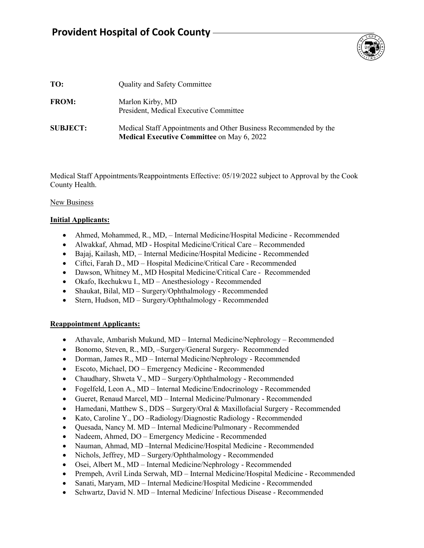# **Provident Hospital of Cook County**



| TO:             | <b>Quality and Safety Committee</b>                                                                                   |
|-----------------|-----------------------------------------------------------------------------------------------------------------------|
| <b>FROM:</b>    | Marlon Kirby, MD<br>President, Medical Executive Committee                                                            |
| <b>SUBJECT:</b> | Medical Staff Appointments and Other Business Recommended by the<br><b>Medical Executive Committee on May 6, 2022</b> |

Medical Staff Appointments/Reappointments Effective: 05/19/2022 subject to Approval by the Cook County Health.

#### New Business

#### **Initial Applicants:**

- Ahmed, Mohammed, R., MD, Internal Medicine/Hospital Medicine Recommended
- Alwakkaf, Ahmad, MD Hospital Medicine/Critical Care Recommended
- Bajaj, Kailash, MD, Internal Medicine/Hospital Medicine Recommended
- Ciftci, Farah D., MD Hospital Medicine/Critical Care Recommended
- Dawson, Whitney M., MD Hospital Medicine/Critical Care Recommended
- Okafo, Ikechukwu I., MD Anesthesiology Recommended
- Shaukat, Bilal, MD Surgery/Ophthalmology Recommended
- Stern, Hudson, MD Surgery/Ophthalmology Recommended

#### **Reappointment Applicants:**

- Athavale, Ambarish Mukund, MD Internal Medicine/Nephrology Recommended
- Bonomo, Steven, R., MD, –Surgery/General Surgery- Recommended
- Dorman, James R., MD Internal Medicine/Nephrology Recommended
- Escoto, Michael, DO Emergency Medicine Recommended
- Chaudhary, Shweta V., MD Surgery/Ophthalmology Recommended
- Fogelfeld, Leon A., MD Internal Medicine/Endocrinology Recommended
- Gueret, Renaud Marcel, MD Internal Medicine/Pulmonary Recommended
- Hamedani, Matthew S., DDS Surgery/Oral & Maxillofacial Surgery Recommended
- Kato, Caroline Y., DO –Radiology/Diagnostic Radiology Recommended
- Quesada, Nancy M. MD Internal Medicine/Pulmonary Recommended
- Nadeem, Ahmed, DO Emergency Medicine Recommended
- Nauman, Ahmad, MD –Internal Medicine/Hospital Medicine Recommended
- Nichols, Jeffrey, MD Surgery/Ophthalmology Recommended
- Osei, Albert M., MD Internal Medicine/Nephrology Recommended
- Prempeh, Avril Linda Serwah, MD Internal Medicine/Hospital Medicine Recommended
- Sanati, Maryam, MD Internal Medicine/Hospital Medicine Recommended
- Schwartz, David N. MD Internal Medicine/ Infectious Disease Recommended